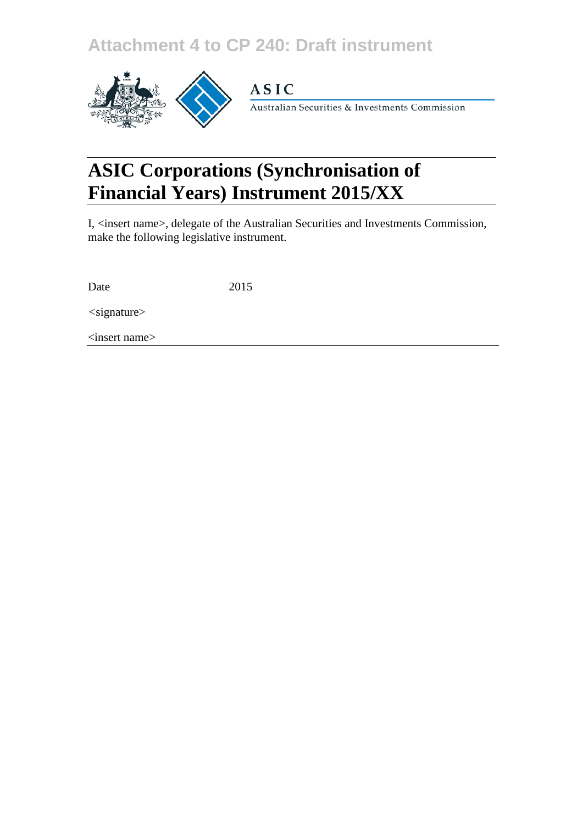## **Attachment 4 to CP 240: Draft instrument**



# **ASIC Corporations (Synchronisation of Financial Years) Instrument 2015/XX**

I, <insert name>, delegate of the Australian Securities and Investments Commission, make the following legislative instrument.

Date 2015

*<*signature>

<insert name>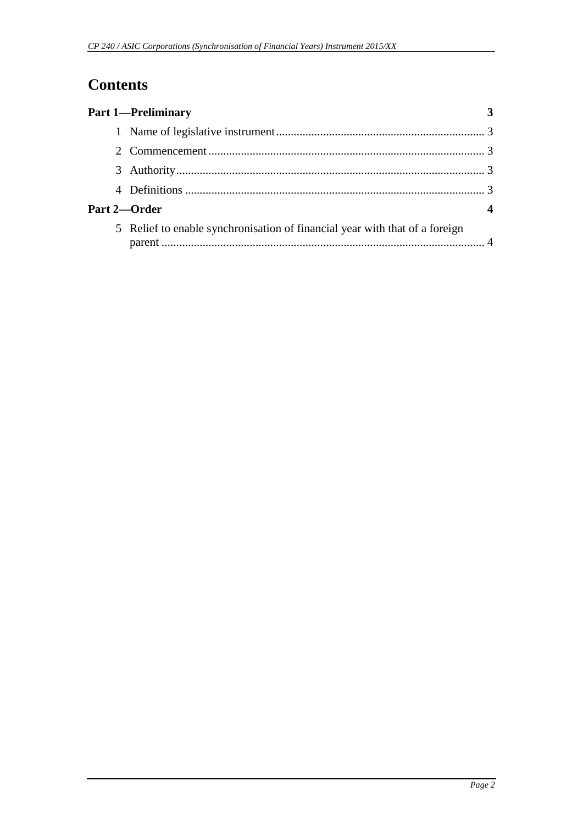## **Contents**

|              | <b>Part 1-Preliminary</b>                                                   |  |
|--------------|-----------------------------------------------------------------------------|--|
|              |                                                                             |  |
|              |                                                                             |  |
|              |                                                                             |  |
|              |                                                                             |  |
| Part 2-Order |                                                                             |  |
|              | 5 Relief to enable synchronisation of financial year with that of a foreign |  |
|              |                                                                             |  |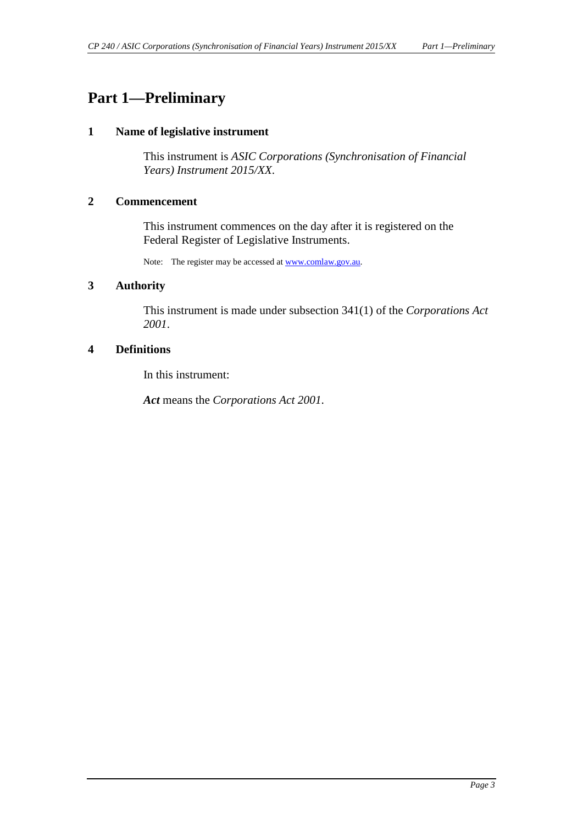### <span id="page-2-1"></span><span id="page-2-0"></span>**Part 1—Preliminary**

#### **1 Name of legislative instrument**

This instrument is *ASIC Corporations (Synchronisation of Financial Years) Instrument 2015/XX*.

#### <span id="page-2-2"></span>**2 Commencement**

This instrument commences on the day after it is registered on the Federal Register of Legislative Instruments.

Note: The register may be accessed a[t www.comlaw.gov.au.](http://www.comlaw.gov.au/)

#### <span id="page-2-3"></span>**3 Authority**

This instrument is made under subsection 341(1) of the *Corporations Act 2001*.

#### <span id="page-2-4"></span>**4 Definitions**

In this instrument:

*Act* means the *Corporations Act 2001*.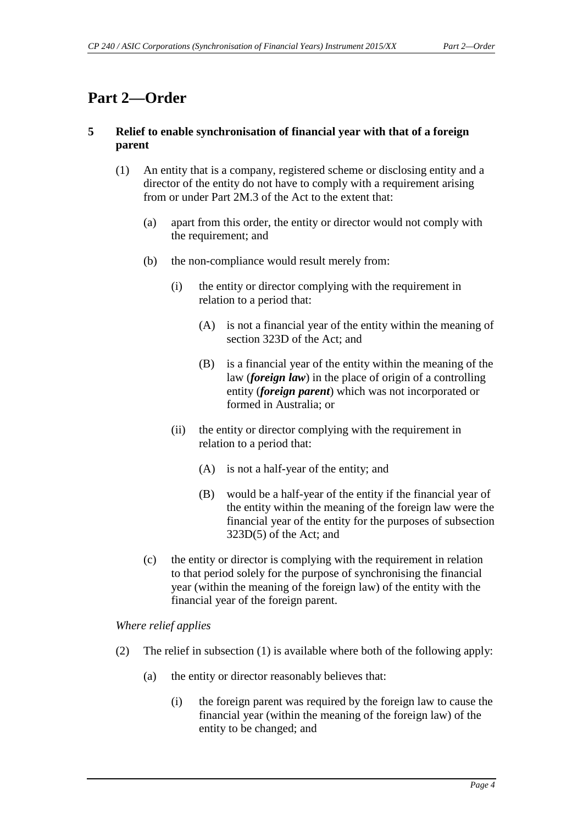### <span id="page-3-1"></span><span id="page-3-0"></span>**Part 2—Order**

#### **5 Relief to enable synchronisation of financial year with that of a foreign parent**

- (1) An entity that is a company, registered scheme or disclosing entity and a director of the entity do not have to comply with a requirement arising from or under Part 2M.3 of the Act to the extent that:
	- (a) apart from this order, the entity or director would not comply with the requirement; and
	- (b) the non-compliance would result merely from:
		- (i) the entity or director complying with the requirement in relation to a period that:
			- (A) is not a financial year of the entity within the meaning of section 323D of the Act; and
			- (B) is a financial year of the entity within the meaning of the law (*foreign law*) in the place of origin of a controlling entity (*foreign parent*) which was not incorporated or formed in Australia; or
		- (ii) the entity or director complying with the requirement in relation to a period that:
			- (A) is not a half-year of the entity; and
			- (B) would be a half-year of the entity if the financial year of the entity within the meaning of the foreign law were the financial year of the entity for the purposes of subsection 323D(5) of the Act; and
	- (c) the entity or director is complying with the requirement in relation to that period solely for the purpose of synchronising the financial year (within the meaning of the foreign law) of the entity with the financial year of the foreign parent.

#### *Where relief applies*

- (2) The relief in subsection (1) is available where both of the following apply:
	- (a) the entity or director reasonably believes that:
		- (i) the foreign parent was required by the foreign law to cause the financial year (within the meaning of the foreign law) of the entity to be changed; and